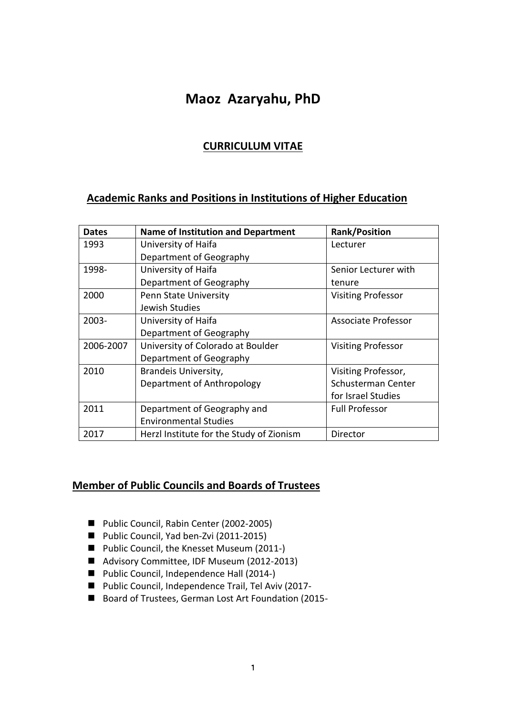# **Maoz Azaryahu, PhD**

# **CURRICULUM VITAE**

# **Academic Ranks and Positions in Institutions of Higher Education**

| <b>Dates</b> | <b>Name of Institution and Department</b> | <b>Rank/Position</b>      |
|--------------|-------------------------------------------|---------------------------|
| 1993         | University of Haifa                       | Lecturer                  |
|              | Department of Geography                   |                           |
| 1998-        | University of Haifa                       | Senior Lecturer with      |
|              | Department of Geography                   | tenure                    |
| 2000         | Penn State University                     | <b>Visiting Professor</b> |
|              | Jewish Studies                            |                           |
| 2003-        | University of Haifa                       | Associate Professor       |
|              | Department of Geography                   |                           |
| 2006-2007    | University of Colorado at Boulder         | <b>Visiting Professor</b> |
|              | Department of Geography                   |                           |
| 2010         | Brandeis University,                      | Visiting Professor,       |
|              | Department of Anthropology                | Schusterman Center        |
|              |                                           | for Israel Studies        |
| 2011         | Department of Geography and               | <b>Full Professor</b>     |
|              | <b>Environmental Studies</b>              |                           |
| 2017         | Herzl Institute for the Study of Zionism  | Director                  |

# **Member of Public Councils and Boards of Trustees**

- Public Council, Rabin Center (2002-2005)
- Public Council, Yad ben-Zvi (2011-2015)
- Public Council, the Knesset Museum (2011-)
- Advisory Committee, IDF Museum (2012-2013)
- Public Council, Independence Hall (2014-)
- Public Council, Independence Trail, Tel Aviv (2017-
- Board of Trustees, German Lost Art Foundation (2015-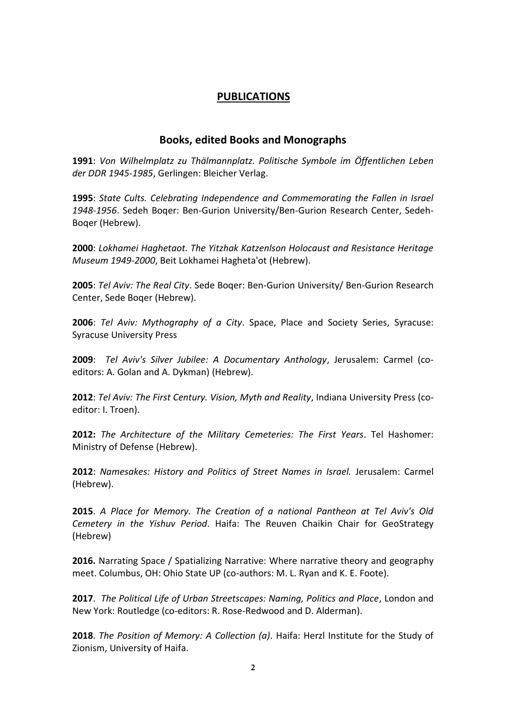### **PUBLICATIONS**

#### **Books, edited Books and Monographs**

**1991**: *Von Wilhelmplatz zu Thälmannplatz. Politische Symbole im Öffentlichen Leben der DDR 1945-1985*, Gerlingen: Bleicher Verlag.

**1995**: *State Cults. Celebrating Independence and Commemorating the Fallen in Israel 1948-1956*. Sedeh Boqer: Ben-Gurion University/Ben-Gurion Research Center, Sedeh-Boqer (Hebrew).

**2000**: *Lokhamei Haghetaot. The Yitzhak Katzenlson Holocaust and Resistance Heritage Museum 1949-2000*, Beit Lokhamei Hagheta'ot (Hebrew).

**2005**: *Tel Aviv: The Real City*. Sede Boqer: Ben-Gurion University/ Ben-Gurion Research Center, Sede Boqer (Hebrew).

**2006**: *Tel Aviv: Mythography of a City*. Space, Place and Society Series, Syracuse: Syracuse University Press

**2009**: *Tel Aviv's Silver Jubilee: A Documentary Anthology*, Jerusalem: Carmel (coeditors: A. Golan and A. Dykman) (Hebrew).

**2012**: *Tel Aviv: The First Century. Vision, Myth and Reality*, Indiana University Press (coeditor: I. Troen).

**2012:** *The Architecture of the Military Cemeteries: The First Years*. Tel Hashomer: Ministry of Defense (Hebrew).

**2012**: *Namesakes: History and Politics of Street Names in Israel.* Jerusalem: Carmel (Hebrew).

**2015**. *A Place for Memory. The Creation of a national Pantheon at Tel Aviv's Old Cemetery in the Yishuv Period*. Haifa: The Reuven Chaikin Chair for GeoStrategy (Hebrew)

**2016.** Narrating Space / Spatializing Narrative: Where narrative theory and geography meet. Columbus, OH: Ohio State UP (co-authors: M. L. Ryan and K. E. Foote).

**2017**. *The Political Life of Urban Streetscapes: Naming, Politics and Place*, London and New York: Routledge (co-editors: R. Rose-Redwood and D. Alderman).

**2018**. *The Position of Memory: A Collection (a)*. Haifa: Herzl Institute for the Study of Zionism, University of Haifa.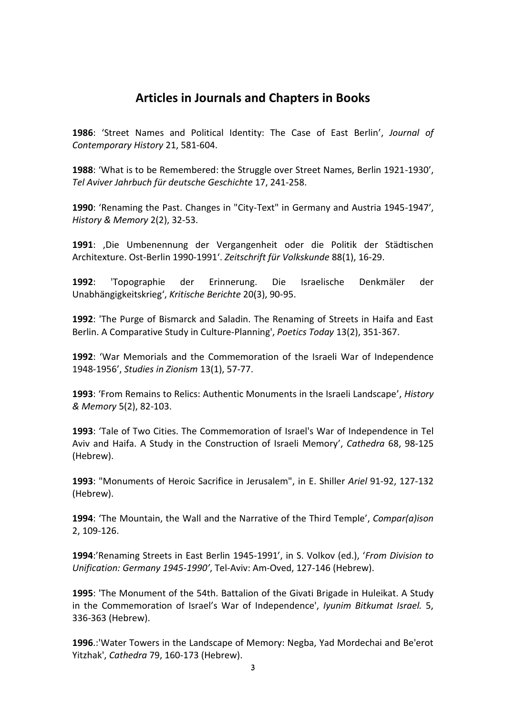# **Articles in Journals and Chapters in Books**

**1986**: 'Street Names and Political Identity: The Case of East Berlin', *Journal of Contemporary History* 21, 581-604.

**1988**: 'What is to be Remembered: the Struggle over Street Names, Berlin 1921-1930', *Tel Aviver Jahrbuch für deutsche Geschichte* 17, 241-258.

**1990**: 'Renaming the Past. Changes in "City-Text" in Germany and Austria 1945-1947', *History & Memory* 2(2), 32-53.

**1991**: 'Die Umbenennung der Vergangenheit oder die Politik der Städtischen Architexture. Ost-Berlin 1990-1991'. *Zeitschrift für Volkskunde* 88(1), 16-29.

**1992**: 'Topographie der Erinnerung. Die Israelische Denkmäler der Unabhängigkeitskrieg', *Kritische Berichte* 20(3), 90-95.

**1992**: 'The Purge of Bismarck and Saladin. The Renaming of Streets in Haifa and East Berlin. A Comparative Study in Culture-Planning', *Poetics Today* 13(2), 351-367.

**1992**: 'War Memorials and the Commemoration of the Israeli War of Independence 1948-1956', *Studies in Zionism* 13(1), 57-77.

**1993**: 'From Remains to Relics: Authentic Monuments in the Israeli Landscape', *History & Memory* 5(2), 82-103.

**1993**: 'Tale of Two Cities. The Commemoration of Israel's War of Independence in Tel Aviv and Haifa. A Study in the Construction of Israeli Memory', *Cathedra* 68, 98-125 (Hebrew).

**1993**: "Monuments of Heroic Sacrifice in Jerusalem", in E. Shiller *Ariel* 91-92, 127-132 (Hebrew).

**1994**: 'The Mountain, the Wall and the Narrative of the Third Temple', *Compar(a)ison*  2, 109-126.

**1994**:'Renaming Streets in East Berlin 1945-1991', in S. Volkov (ed.), '*From Division to Unification: Germany 1945-1990'*, Tel-Aviv: Am-Oved, 127-146 (Hebrew).

**1995**: 'The Monument of the 54th. Battalion of the Givati Brigade in Huleikat. A Study in the Commemoration of Israel's War of Independence', *Iyunim Bitkumat Israel.* 5, 336-363 (Hebrew).

**1996**.:'Water Towers in the Landscape of Memory: Negba, Yad Mordechai and Be'erot Yitzhak', *Cathedra* 79, 160-173 (Hebrew).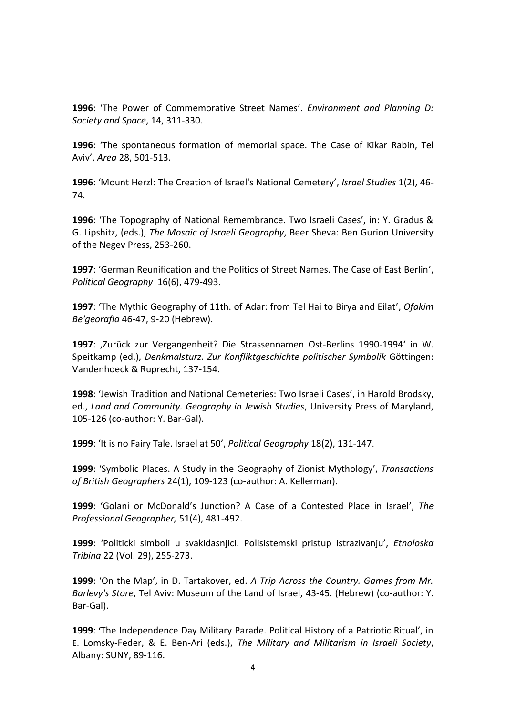**1996**: 'The Power of Commemorative Street Names'. *Environment and Planning D: Society and Space*, 14, 311-330.

**1996**: 'The spontaneous formation of memorial space. The Case of Kikar Rabin, Tel Aviv', *Area* 28, 501-513.

**1996**: 'Mount Herzl: The Creation of Israel's National Cemetery', *Israel Studies* 1(2), 46- 74.

**1996**: 'The Topography of National Remembrance. Two Israeli Cases', in: Y. Gradus & G. Lipshitz, (eds.), *The Mosaic of Israeli Geography*, Beer Sheva: Ben Gurion University of the Negev Press, 253-260.

**1997**: 'German Reunification and the Politics of Street Names. The Case of East Berlin', *Political Geography* 16(6), 479-493.

**1997**: 'The Mythic Geography of 11th. of Adar: from Tel Hai to Birya and Eilat', *Ofakim Be'georafia* 46-47, 9-20 (Hebrew).

1997: ,Zurück zur Vergangenheit? Die Strassennamen Ost-Berlins 1990-1994' in W. Speitkamp (ed.), *Denkmalsturz. Zur Konfliktgeschichte politischer Symbolik* Göttingen: Vandenhoeck & Ruprecht, 137-154.

**1998**: 'Jewish Tradition and National Cemeteries: Two Israeli Cases', in Harold Brodsky, ed., *Land and Community. Geography in Jewish Studies*, University Press of Maryland, 105-126 (co-author: Y. Bar-Gal).

**1999**: 'It is no Fairy Tale. Israel at 50', *Political Geography* 18(2), 131-147.

**1999**: 'Symbolic Places. A Study in the Geography of Zionist Mythology', *Transactions of British Geographers* 24(1), 109-123 (co-author: A. Kellerman).

**1999**: 'Golani or McDonald's Junction? A Case of a Contested Place in Israel', *The Professional Geographer,* 51(4), 481-492.

**1999**: 'Politicki simboli u svakidasnjici. Polisistemski pristup istrazivanju', *Etnoloska Tribina* 22 (Vol. 29), 255-273.

**1999**: 'On the Map', in D. Tartakover, ed. *A Trip Across the Country. Games from Mr. Barlevy's Store*, Tel Aviv: Museum of the Land of Israel, 43-45. (Hebrew) (co-author: Y. Bar-Gal).

**1999**: **'**The Independence Day Military Parade. Political History of a Patriotic Ritual', in E. Lomsky-Feder, & E. Ben-Ari (eds.), *The Military and Militarism in Israeli Society*, Albany: SUNY, 89-116.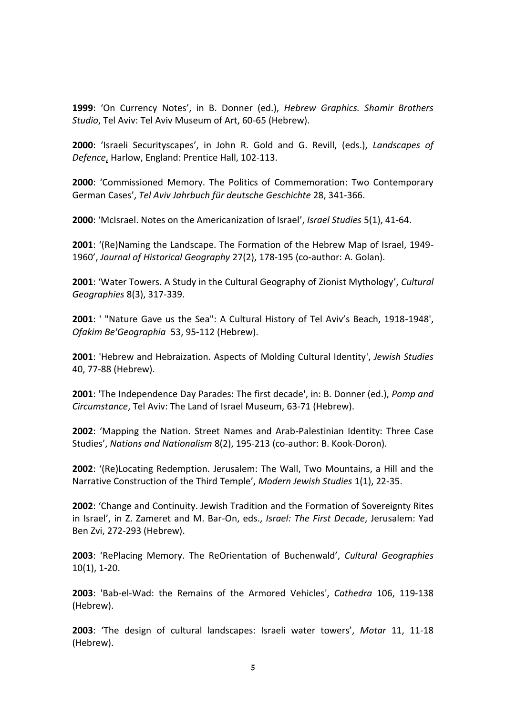**1999**: 'On Currency Notes', in B. Donner (ed.), *Hebrew Graphics. Shamir Brothers Studio*, Tel Aviv: Tel Aviv Museum of Art, 60-65 (Hebrew).

**2000**: 'Israeli Securityscapes', in John R. Gold and G. Revill, (eds.), *Landscapes of Defence*, Harlow, England: Prentice Hall, 102-113.

**2000**: 'Commissioned Memory. The Politics of Commemoration: Two Contemporary German Cases', *Tel Aviv Jahrbuch für deutsche Geschichte* 28, 341-366.

**2000**: 'McIsrael. Notes on the Americanization of Israel', *Israel Studies* 5(1), 41-64.

**2001**: '(Re)Naming the Landscape. The Formation of the Hebrew Map of Israel, 1949- 1960', *Journal of Historical Geography* 27(2), 178-195 (co-author: A. Golan).

**2001**: 'Water Towers. A Study in the Cultural Geography of Zionist Mythology', *Cultural Geographies* 8(3), 317-339.

**2001**: ' "Nature Gave us the Sea": A Cultural History of Tel Aviv's Beach, 1918-1948', *Ofakim Be'Geographia* 53, 95-112 (Hebrew).

**2001**: 'Hebrew and Hebraization. Aspects of Molding Cultural Identity', *Jewish Studies*  40, 77-88 (Hebrew).

**2001**: 'The Independence Day Parades: The first decade', in: B. Donner (ed.), *Pomp and Circumstance*, Tel Aviv: The Land of Israel Museum, 63-71 (Hebrew).

**2002**: 'Mapping the Nation. Street Names and Arab-Palestinian Identity: Three Case Studies', *Nations and Nationalism* 8(2), 195-213 (co-author: B. Kook-Doron).

**2002**: '(Re)Locating Redemption. Jerusalem: The Wall, Two Mountains, a Hill and the Narrative Construction of the Third Temple', *Modern Jewish Studies* 1(1), 22-35.

**2002**: 'Change and Continuity. Jewish Tradition and the Formation of Sovereignty Rites in Israel', in Z. Zameret and M. Bar-On, eds., *Israel: The First Decade*, Jerusalem: Yad Ben Zvi, 272-293 (Hebrew).

**2003**: 'RePlacing Memory. The ReOrientation of Buchenwald', *Cultural Geographies*  10(1), 1-20.

**2003**: 'Bab-el-Wad: the Remains of the Armored Vehicles', *Cathedra* 106, 119-138 (Hebrew).

**2003**: 'The design of cultural landscapes: Israeli water towers', *Motar* 11, 11-18 (Hebrew).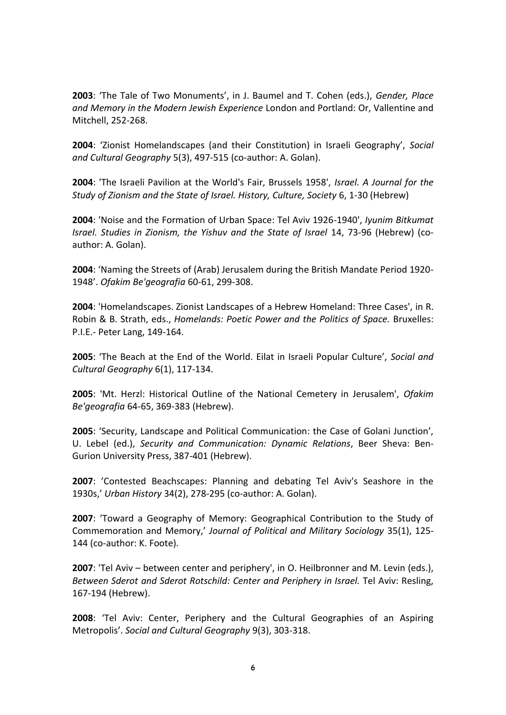**2003**: 'The Tale of Two Monuments', in J. Baumel and T. Cohen (eds.), *Gender, Place and Memory in the Modern Jewish Experience* London and Portland: Or, Vallentine and Mitchell, 252-268.

**2004**: 'Zionist Homelandscapes (and their Constitution) in Israeli Geography', *Social and Cultural Geography* 5(3), 497-515 (co-author: A. Golan).

**2004**: 'The Israeli Pavilion at the World's Fair, Brussels 1958', *Israel. A Journal for the Study of Zionism and the State of Israel. History, Culture, Society* 6, 1-30 (Hebrew)

**2004**: 'Noise and the Formation of Urban Space: Tel Aviv 1926-1940', *Iyunim Bitkumat Israel. Studies in Zionism, the Yishuv and the State of Israel* 14, 73-96 (Hebrew) (coauthor: A. Golan).

**2004**: 'Naming the Streets of (Arab) Jerusalem during the British Mandate Period 1920- 1948'. *Ofakim Be'geografia* 60-61, 299-308.

**2004**: 'Homelandscapes. Zionist Landscapes of a Hebrew Homeland: Three Cases', in R. Robin & B. Strath, eds., *Homelands: Poetic Power and the Politics of Space.* Bruxelles: P.I.E.- Peter Lang, 149-164.

**2005**: 'The Beach at the End of the World. Eilat in Israeli Popular Culture', *Social and Cultural Geography* 6(1), 117-134.

**2005**: 'Mt. Herzl: Historical Outline of the National Cemetery in Jerusalem', *Ofakim Be'geografia* 64-65, 369-383 (Hebrew).

**2005**: 'Security, Landscape and Political Communication: the Case of Golani Junction', U. Lebel (ed.), *Security and Communication: Dynamic Relations*, Beer Sheva: Ben-Gurion University Press, 387-401 (Hebrew).

**2007**: 'Contested Beachscapes: Planning and debating Tel Aviv's Seashore in the 1930s,' *Urban History* 34(2), 278-295 (co-author: A. Golan).

**2007**: 'Toward a Geography of Memory: Geographical Contribution to the Study of Commemoration and Memory,' *Journal of Political and Military Sociology* 35(1), 125- 144 (co-author: K. Foote).

**2007**: 'Tel Aviv – between center and periphery', in O. Heilbronner and M. Levin (eds.), *Between Sderot and Sderot Rotschild: Center and Periphery in Israel.* Tel Aviv: Resling, 167-194 (Hebrew).

**2008**: 'Tel Aviv: Center, Periphery and the Cultural Geographies of an Aspiring Metropolis'. *Social and Cultural Geography* 9(3), 303-318.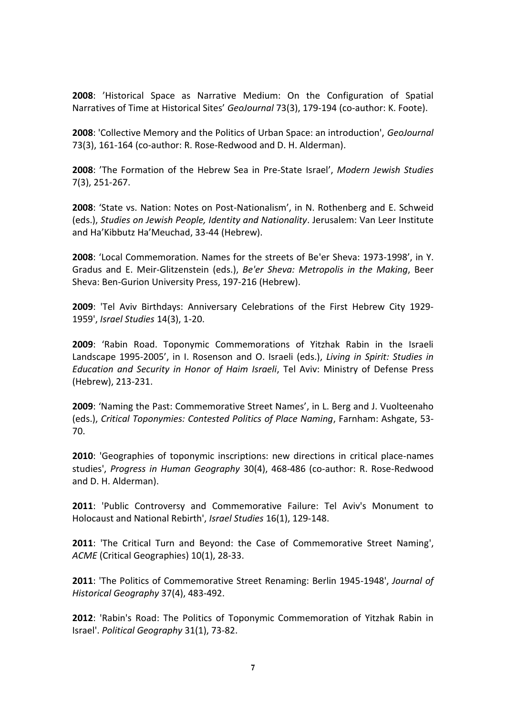**2008**: 'Historical Space as Narrative Medium: On the Configuration of Spatial Narratives of Time at Historical Sites' *GeoJournal* 73(3), 179-194 (co-author: K. Foote).

**2008**: 'Collective Memory and the Politics of Urban Space: an introduction', *GeoJournal* 73(3), 161-164 (co-author: R. Rose-Redwood and D. H. Alderman).

**2008**: 'The Formation of the Hebrew Sea in Pre-State Israel', *Modern Jewish Studies*  7(3), 251-267.

**2008**: 'State vs. Nation: Notes on Post-Nationalism', in N. Rothenberg and E. Schweid (eds.), *Studies on Jewish People, Identity and Nationality*. Jerusalem: Van Leer Institute and Ha'Kibbutz Ha'Meuchad, 33-44 (Hebrew).

**2008**: 'Local Commemoration. Names for the streets of Be'er Sheva: 1973-1998', in Y. Gradus and E. Meir-Glitzenstein (eds.), *Be'er Sheva: Metropolis in the Making*, Beer Sheva: Ben-Gurion University Press, 197-216 (Hebrew).

**2009**: 'Tel Aviv Birthdays: Anniversary Celebrations of the First Hebrew City 1929- 1959', *Israel Studies* 14(3), 1-20.

**2009**: 'Rabin Road. Toponymic Commemorations of Yitzhak Rabin in the Israeli Landscape 1995-2005', in I. Rosenson and O. Israeli (eds.), *Living in Spirit: Studies in Education and Security in Honor of Haim Israeli*, Tel Aviv: Ministry of Defense Press (Hebrew), 213-231.

**2009**: 'Naming the Past: Commemorative Street Names', in L. Berg and J. Vuolteenaho (eds.), *Critical Toponymies: Contested Politics of Place Naming*, Farnham: Ashgate, 53- 70.

**2010**: 'Geographies of toponymic inscriptions: new directions in critical place-names studies', *Progress in Human Geography* 30(4), 468-486 (co-author: R. Rose-Redwood and D. H. Alderman).

**2011**: 'Public Controversy and Commemorative Failure: Tel Aviv's Monument to Holocaust and National Rebirth', *Israel Studies* 16(1), 129-148.

**2011**: 'The Critical Turn and Beyond: the Case of Commemorative Street Naming', *ACME* (Critical Geographies) 10(1), 28-33.

**2011**: 'The Politics of Commemorative Street Renaming: Berlin 1945-1948', *Journal of Historical Geography* 37(4), 483-492.

**2012**: 'Rabin's Road: The Politics of Toponymic Commemoration of Yitzhak Rabin in Israel'. *Political Geography* 31(1), 73-82.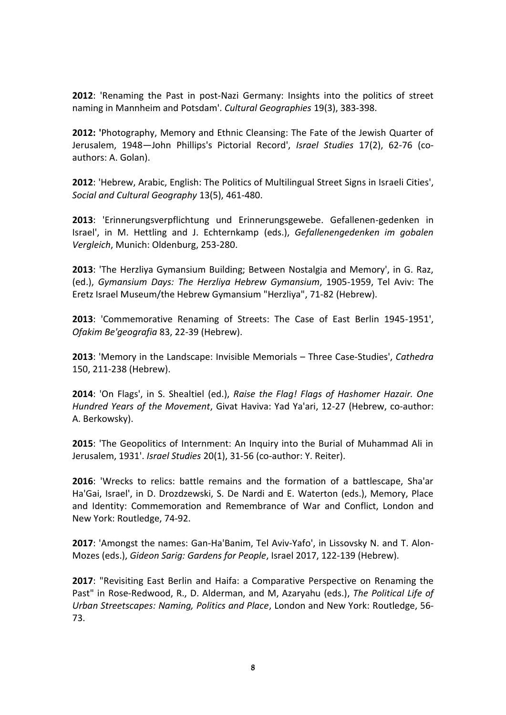**2012**: 'Renaming the Past in post-Nazi Germany: Insights into the politics of street naming in Mannheim and Potsdam'. *Cultural Geographies* 19(3), 383-398.

**2012: '**Photography, Memory and Ethnic Cleansing: The Fate of the Jewish Quarter of Jerusalem, 1948—John Phillips's Pictorial Record', *Israel Studies* 17(2), 62-76 (coauthors: A. Golan).

**2012**: 'Hebrew, Arabic, English: The Politics of Multilingual Street Signs in Israeli Cities', *Social and Cultural Geography* 13(5), 461-480.

**2013**: 'Erinnerungsverpflichtung und Erinnerungsgewebe. Gefallenen-gedenken in Israel', in M. Hettling and J. Echternkamp (eds.), *Gefallenengedenken im gobalen Vergleich*, Munich: Oldenburg, 253-280.

**2013**: 'The Herzliya Gymansium Building; Between Nostalgia and Memory', in G. Raz, (ed.), *Gymansium Days: The Herzliya Hebrew Gymansium*, 1905-1959, Tel Aviv: The Eretz Israel Museum/the Hebrew Gymansium "Herzliya", 71-82 (Hebrew).

**2013**: 'Commemorative Renaming of Streets: The Case of East Berlin 1945-1951', *Ofakim Be'geografia* 83, 22-39 (Hebrew).

**2013**: 'Memory in the Landscape: Invisible Memorials – Three Case-Studies', *Cathedra* 150, 211-238 (Hebrew).

**2014**: 'On Flags', in S. Shealtiel (ed.), *Raise the Flag! Flags of Hashomer Hazair. One Hundred Years of the Movement*, Givat Haviva: Yad Ya'ari, 12-27 (Hebrew, co-author: A. Berkowsky).

**2015**: 'The Geopolitics of Internment: An Inquiry into the Burial of Muhammad Ali in Jerusalem, 1931'. *Israel Studies* 20(1), 31-56 (co-author: Y. Reiter).

**2016**: 'Wrecks to relics: battle remains and the formation of a battlescape, Sha'ar Ha'Gai, Israel', in D. Drozdzewski, S. De Nardi and E. Waterton (eds.), Memory, Place and Identity: Commemoration and Remembrance of War and Conflict, London and New York: Routledge, 74-92.

**2017**: 'Amongst the names: Gan-Ha'Banim, Tel Aviv-Yafo', in Lissovsky N. and T. Alon-Mozes (eds.), *Gideon Sarig: Gardens for People*, Israel 2017, 122-139 (Hebrew).

**2017**: "Revisiting East Berlin and Haifa: a Comparative Perspective on Renaming the Past" in Rose-Redwood, R., D. Alderman, and M, Azaryahu (eds.), *The Political Life of Urban Streetscapes: Naming, Politics and Place*, London and New York: Routledge, 56- 73.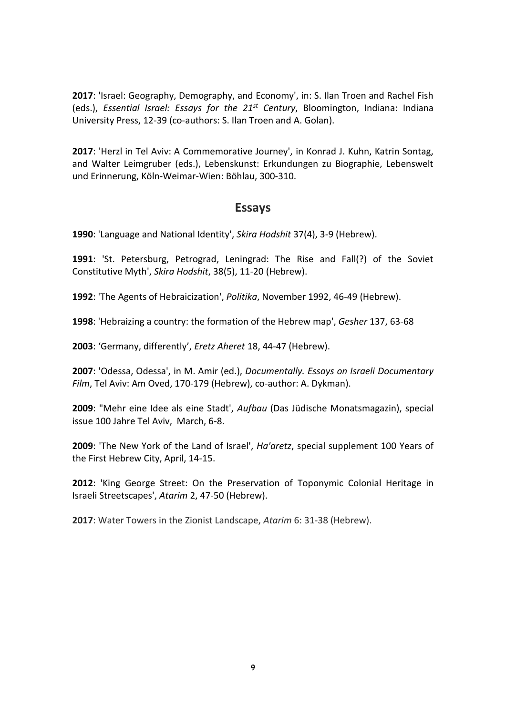**2017**: 'Israel: Geography, Demography, and Economy', in: S. Ilan Troen and Rachel Fish (eds.), *Essential Israel: Essays for the 21st Century*, Bloomington, Indiana: Indiana University Press, 12-39 (co-authors: S. Ilan Troen and A. Golan).

**2017**: 'Herzl in Tel Aviv: A Commemorative Journey', in Konrad J. Kuhn, Katrin Sontag, and Walter Leimgruber (eds.), Lebenskunst: Erkundungen zu Biographie, Lebenswelt und Erinnerung, Köln-Weimar-Wien: Böhlau, 300-310.

# **Essays**

**1990**: 'Language and National Identity', *Skira Hodshit* 37(4), 3-9 (Hebrew).

**1991**: 'St. Petersburg, Petrograd, Leningrad: The Rise and Fall(?) of the Soviet Constitutive Myth', *Skira Hodshit*, 38(5), 11-20 (Hebrew).

**1992**: 'The Agents of Hebraicization', *Politika*, November 1992, 46-49 (Hebrew).

**1998**: 'Hebraizing a country: the formation of the Hebrew map', *Gesher* 137, 63-68

**2003**: 'Germany, differently', *Eretz Aheret* 18, 44-47 (Hebrew).

**2007**: 'Odessa, Odessa', in M. Amir (ed.), *Documentally. Essays on Israeli Documentary Film*, Tel Aviv: Am Oved, 170-179 (Hebrew), co-author: A. Dykman).

**2009**: "Mehr eine Idee als eine Stadt', *Aufbau* (Das Jüdische Monatsmagazin), special issue 100 Jahre Tel Aviv, March, 6-8.

**2009**: 'The New York of the Land of Israel', *Ha'aretz*, special supplement 100 Years of the First Hebrew City, April, 14-15.

**2012**: 'King George Street: On the Preservation of Toponymic Colonial Heritage in Israeli Streetscapes', *Atarim* 2, 47-50 (Hebrew).

**2017**: Water Towers in the Zionist Landscape, *Atarim* 6: 31-38 (Hebrew).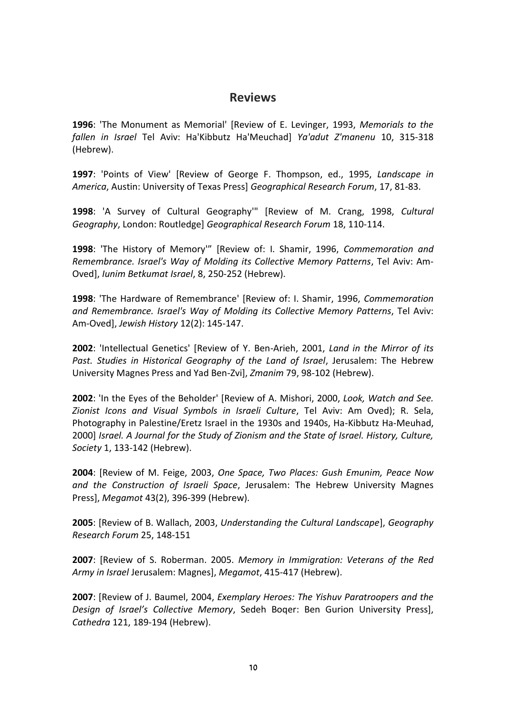# **Reviews**

**1996**: 'The Monument as Memorial' [Review of E. Levinger, 1993, *Memorials to the fallen in Israel* Tel Aviv: Ha'Kibbutz Ha'Meuchad] *Ya'adut Z'manenu* 10, 315-318 (Hebrew).

**1997**: 'Points of View' [Review of George F. Thompson, ed., 1995, *Landscape in America*, Austin: University of Texas Press] *Geographical Research Forum*, 17, 81-83.

**1998**: 'A Survey of Cultural Geography'" [Review of M. Crang, 1998, *Cultural Geography*, London: Routledge] *Geographical Research Forum* 18, 110-114.

**1998**: 'The History of Memory'" [Review of: I. Shamir, 1996, *Commemoration and Remembrance. Israel's Way of Molding its Collective Memory Patterns*, Tel Aviv: Am-Oved], *Iunim Betkumat Israel*, 8, 250-252 (Hebrew).

**1998**: 'The Hardware of Remembrance' [Review of: I. Shamir, 1996, *Commemoration and Remembrance. Israel's Way of Molding its Collective Memory Patterns*, Tel Aviv: Am-Oved], *Jewish History* 12(2): 145-147.

**2002**: 'Intellectual Genetics' [Review of Y. Ben-Arieh, 2001, *Land in the Mirror of its Past. Studies in Historical Geography of the Land of Israel*, Jerusalem: The Hebrew University Magnes Press and Yad Ben-Zvi], *Zmanim* 79, 98-102 (Hebrew).

**2002**: 'In the Eyes of the Beholder' [Review of A. Mishori, 2000, *Look, Watch and See. Zionist Icons and Visual Symbols in Israeli Culture*, Tel Aviv: Am Oved); R. Sela, Photography in Palestine/Eretz Israel in the 1930s and 1940s, Ha-Kibbutz Ha-Meuhad, 2000] *Israel. A Journal for the Study of Zionism and the State of Israel. History, Culture, Society* 1, 133-142 (Hebrew).

**2004**: [Review of M. Feige, 2003, *One Space, Two Places: Gush Emunim, Peace Now and the Construction of Israeli Space*, Jerusalem: The Hebrew University Magnes Press], *Megamot* 43(2), 396-399 (Hebrew).

**2005**: [Review of B. Wallach, 2003, *Understanding the Cultural Landscape*], *Geography Research Forum* 25, 148-151

**2007**: [Review of S. Roberman. 2005. *Memory in Immigration: Veterans of the Red Army in Israel* Jerusalem: Magnes], *Megamot*, 415-417 (Hebrew).

**2007**: [Review of J. Baumel, 2004, *Exemplary Heroes: The Yishuv Paratroopers and the Design of Israel's Collective Memory*, Sedeh Boqer: Ben Gurion University Press], *Cathedra* 121, 189-194 (Hebrew).